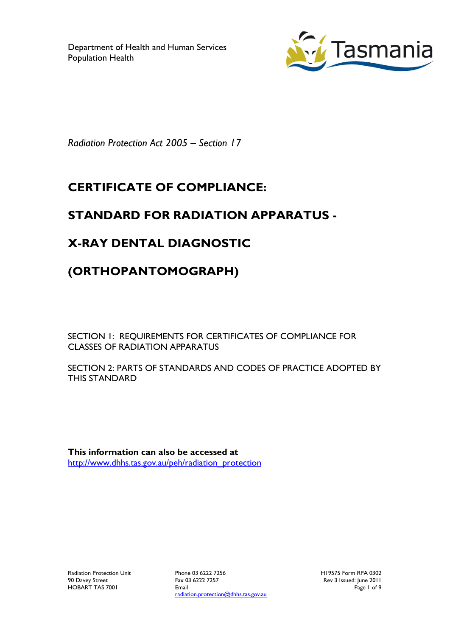Department of Health and Human Services Population Health



*Radiation Protection Act 2005 – Section 17*

## **CERTIFICATE OF COMPLIANCE:**

### **STANDARD FOR RADIATION APPARATUS -**

# **X-RAY DENTAL DIAGNOSTIC**

### **(ORTHOPANTOMOGRAPH)**

SECTION 1: REQUIREMENTS FOR CERTIFICATES OF COMPLIANCE FOR CLASSES OF RADIATION APPARATUS

SECTION 2: PARTS OF STANDARDS AND CODES OF PRACTICE ADOPTED BY THIS STANDARD

**This information can also be accessed at** [http://www.dhhs.tas.gov.au/peh/radiation\\_protection](http://www.dhhs.tas.gov.au/peh/radiation_protection)

Radiation Protection Unit 90 Davey Street HOBART TAS 7001

Phone 03 6222 7256 Fax 03 6222 7257 Email radiation.protection@dhhs.tas.gov.au H19575 Form RPA 0302 Rev 3 Issued: June 2011 Page 1 of 9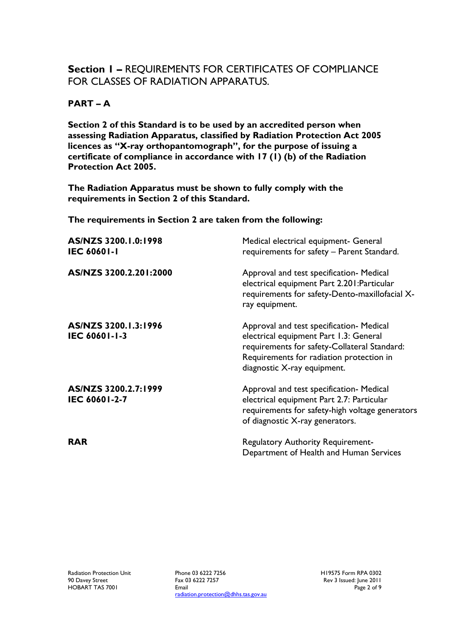### **Section 1 –** REQUIREMENTS FOR CERTIFICATES OF COMPLIANCE FOR CLASSES OF RADIATION APPARATUS.

#### **PART – A**

**Section 2 of this Standard is to be used by an accredited person when assessing Radiation Apparatus, classified by Radiation Protection Act 2005 licences as "X-ray orthopantomograph", for the purpose of issuing a certificate of compliance in accordance with 17 (1) (b) of the Radiation Protection Act 2005.**

**The Radiation Apparatus must be shown to fully comply with the requirements in Section 2 of this Standard.**

**The requirements in Section 2 are taken from the following:**

| AS/NZS 3200.1.0:1998<br><b>IEC 60601-1</b> | Medical electrical equipment- General<br>requirements for safety - Parent Standard.                                                                                                                           |
|--------------------------------------------|---------------------------------------------------------------------------------------------------------------------------------------------------------------------------------------------------------------|
| AS/NZS 3200.2.201:2000                     | Approval and test specification- Medical<br>electrical equipment Part 2.201: Particular<br>requirements for safety-Dento-maxillofacial X-<br>ray equipment.                                                   |
| AS/NZS 3200.1.3:1996<br>IEC 60601-1-3      | Approval and test specification- Medical<br>electrical equipment Part 1.3: General<br>requirements for safety-Collateral Standard:<br>Requirements for radiation protection in<br>diagnostic X-ray equipment. |
| AS/NZS 3200.2.7:1999<br>IEC 60601-2-7      | Approval and test specification- Medical<br>electrical equipment Part 2.7: Particular<br>requirements for safety-high voltage generators<br>of diagnostic X-ray generators.                                   |
| <b>RAR</b>                                 | <b>Regulatory Authority Requirement-</b><br>Department of Health and Human Services                                                                                                                           |

Phone 03 6222 7256 Fax 03 6222 7257 Email radiation.protection@dhhs.tas.gov.au H19575 Form RPA 0302 Rev 3 Issued: June 2011 Page 2 of 9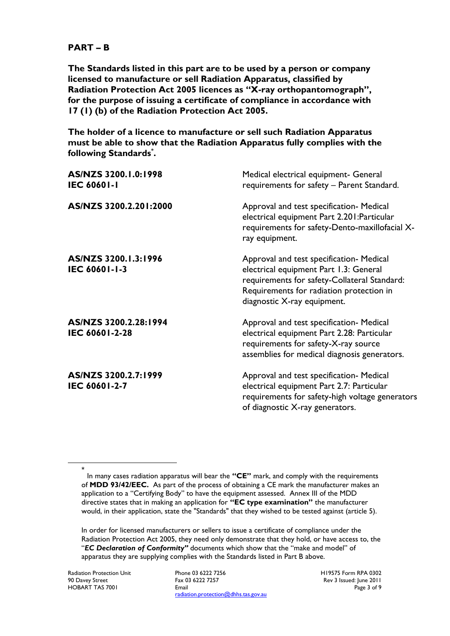#### **PART – B**

**The Standards listed in this part are to be used by a person or company licensed to manufacture or sell Radiation Apparatus, classified by Radiation Protection Act 2005 licences as "X-ray orthopantomograph", for the purpose of issuing a certificate of compliance in accordance with 17 (1) (b) of the Radiation Protection Act 2005.**

**The holder of a licence to manufacture or sell such Radiation Apparatus must be able to show that the Radiation Apparatus fully complies with the following Standards\* .**

| AS/NZS 3200.1.0:1998<br><b>IEC 60601-1</b> | Medical electrical equipment- General<br>requirements for safety - Parent Standard.                                                                                                                           |
|--------------------------------------------|---------------------------------------------------------------------------------------------------------------------------------------------------------------------------------------------------------------|
| AS/NZS 3200.2.201:2000                     | Approval and test specification- Medical<br>electrical equipment Part 2.201: Particular<br>requirements for safety-Dento-maxillofacial X-<br>ray equipment.                                                   |
| AS/NZS 3200.1.3:1996<br>IEC 60601-1-3      | Approval and test specification- Medical<br>electrical equipment Part 1.3: General<br>requirements for safety-Collateral Standard:<br>Requirements for radiation protection in<br>diagnostic X-ray equipment. |
| AS/NZS 3200.2.28:1994<br>IEC 60601-2-28    | Approval and test specification- Medical<br>electrical equipment Part 2.28: Particular<br>requirements for safety-X-ray source<br>assemblies for medical diagnosis generators.                                |
| AS/NZS 3200.2.7:1999<br>IEC 60601-2-7      | Approval and test specification- Medical<br>electrical equipment Part 2.7: Particular<br>requirements for safety-high voltage generators<br>of diagnostic X-ray generators.                                   |

In order for licensed manufacturers or sellers to issue a certificate of compliance under the Radiation Protection Act 2005, they need only demonstrate that they hold, or have access to, the "*EC Declaration of Conformity"* documents which show that the "make and model" of apparatus they are supplying complies with the Standards listed in Part B above.

Radiation Protection Unit 90 Davey Street HOBART TAS 7001

 $\overline{a}$ \*

> Phone 03 6222 7256 Fax 03 6222 7257 Email radiation.protection@dhhs.tas.gov.au

H19575 Form RPA 0302 Rev 3 Issued: June 2011 Page 3 of 9

In many cases radiation apparatus will bear the **"CE"** mark, and comply with the requirements of **MDD 93/42/EEC.** As part of the process of obtaining a CE mark the manufacturer makes an application to a "Certifying Body" to have the equipment assessed. Annex III of the MDD directive states that in making an application for **"EC type examination"** the manufacturer would, in their application, state the "Standards" that they wished to be tested against (article 5).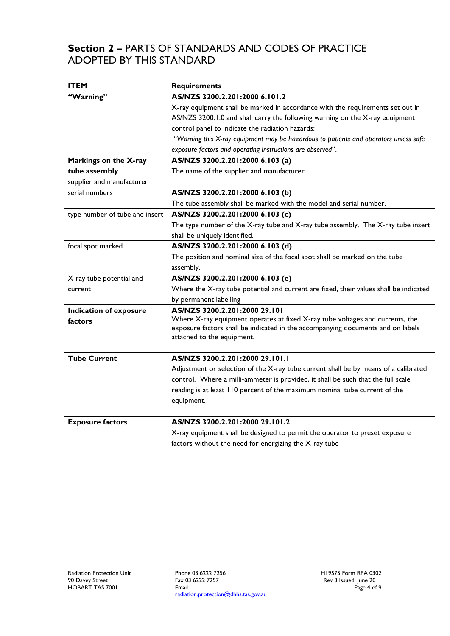### **Section 2 –** PARTS OF STANDARDS AND CODES OF PRACTICE ADOPTED BY THIS STANDARD

| <b>ITEM</b>                    | <b>Requirements</b>                                                                                                                                                                            |
|--------------------------------|------------------------------------------------------------------------------------------------------------------------------------------------------------------------------------------------|
| "Warning"                      | AS/NZS 3200.2.201:2000 6.101.2                                                                                                                                                                 |
|                                | X-ray equipment shall be marked in accordance with the requirements set out in                                                                                                                 |
|                                | AS/NZS 3200.1.0 and shall carry the following warning on the X-ray equipment                                                                                                                   |
|                                | control panel to indicate the radiation hazards:                                                                                                                                               |
|                                | "Warning this X-ray equipment may be hazardous to patients and operators unless safe                                                                                                           |
|                                | exposure factors and operating instructions are observed".                                                                                                                                     |
| Markings on the X-ray          | AS/NZS 3200.2.201:2000 6.103 (a)                                                                                                                                                               |
| tube assembly                  | The name of the supplier and manufacturer                                                                                                                                                      |
| supplier and manufacturer      |                                                                                                                                                                                                |
| serial numbers                 | AS/NZS 3200.2.201:2000 6.103 (b)                                                                                                                                                               |
|                                | The tube assembly shall be marked with the model and serial number.                                                                                                                            |
| type number of tube and insert | AS/NZS 3200.2.201:2000 6.103 (c)                                                                                                                                                               |
|                                | The type number of the X-ray tube and X-ray tube assembly. The X-ray tube insert                                                                                                               |
|                                | shall be uniquely identified.                                                                                                                                                                  |
| focal spot marked              | AS/NZS 3200.2.201:2000 6.103 (d)                                                                                                                                                               |
|                                | The position and nominal size of the focal spot shall be marked on the tube                                                                                                                    |
|                                | assembly.                                                                                                                                                                                      |
| X-ray tube potential and       | AS/NZS 3200.2.201:2000 6.103 (e)                                                                                                                                                               |
| current                        | Where the X-ray tube potential and current are fixed, their values shall be indicated                                                                                                          |
|                                | by permanent labelling                                                                                                                                                                         |
| <b>Indication of exposure</b>  | AS/NZS 3200.2.201:2000 29.101                                                                                                                                                                  |
| factors                        | Where X-ray equipment operates at fixed X-ray tube voltages and currents, the<br>exposure factors shall be indicated in the accompanying documents and on labels<br>attached to the equipment. |
| <b>Tube Current</b>            | AS/NZS 3200.2.201:2000 29.101.1                                                                                                                                                                |
|                                | Adjustment or selection of the X-ray tube current shall be by means of a calibrated                                                                                                            |
|                                | control. Where a milli-ammeter is provided, it shall be such that the full scale                                                                                                               |
|                                | reading is at least 110 percent of the maximum nominal tube current of the                                                                                                                     |
|                                | equipment.                                                                                                                                                                                     |
|                                |                                                                                                                                                                                                |
| <b>Exposure factors</b>        | AS/NZS 3200.2.201:2000 29.101.2                                                                                                                                                                |
|                                | X-ray equipment shall be designed to permit the operator to preset exposure                                                                                                                    |
|                                | factors without the need for energizing the X-ray tube                                                                                                                                         |
|                                |                                                                                                                                                                                                |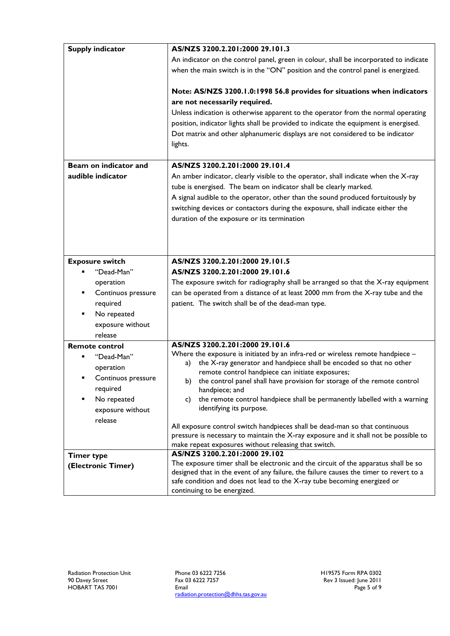| <b>Supply indicator</b> | AS/NZS 3200.2.201:2000 29.101.3                                                                                      |
|-------------------------|----------------------------------------------------------------------------------------------------------------------|
|                         | An indicator on the control panel, green in colour, shall be incorporated to indicate                                |
|                         | when the main switch is in the "ON" position and the control panel is energized.                                     |
|                         | Note: AS/NZS 3200.1.0:1998 56.8 provides for situations when indicators                                              |
|                         | are not necessarily required.                                                                                        |
|                         | Unless indication is otherwise apparent to the operator from the normal operating                                    |
|                         | position, indicator lights shall be provided to indicate the equipment is energised.                                 |
|                         | Dot matrix and other alphanumeric displays are not considered to be indicator                                        |
|                         | lights.                                                                                                              |
| Beam on indicator and   | AS/NZS 3200.2.201:2000 29.101.4                                                                                      |
| audible indicator       | An amber indicator, clearly visible to the operator, shall indicate when the X-ray                                   |
|                         | tube is energised. The beam on indicator shall be clearly marked.                                                    |
|                         | A signal audible to the operator, other than the sound produced fortuitously by                                      |
|                         | switching devices or contactors during the exposure, shall indicate either the                                       |
|                         | duration of the exposure or its termination                                                                          |
|                         |                                                                                                                      |
|                         |                                                                                                                      |
|                         |                                                                                                                      |
| <b>Exposure switch</b>  | AS/NZS 3200.2.201:2000 29.101.5                                                                                      |
| "Dead-Man"              | AS/NZS 3200.2.201:2000 29.101.6                                                                                      |
| operation               | The exposure switch for radiography shall be arranged so that the X-ray equipment                                    |
| Continuos pressure      | can be operated from a distance of at least 2000 mm from the X-ray tube and the                                      |
| required                | patient. The switch shall be of the dead-man type.                                                                   |
| No repeated             |                                                                                                                      |
| exposure without        |                                                                                                                      |
| release                 |                                                                                                                      |
| <b>Remote control</b>   | AS/NZS 3200.2.201:2000 29.101.6                                                                                      |
| "Dead-Man"              | Where the exposure is initiated by an infra-red or wireless remote handpiece -                                       |
| operation               | the X-ray generator and handpiece shall be encoded so that no other<br>a)                                            |
| Continuos pressure      | remote control handpiece can initiate exposures;                                                                     |
| required                | b) the control panel shall have provision for storage of the remote control<br>handpiece; and                        |
| No repeated             | the remote control handpiece shall be permanently labelled with a warning<br>C)                                      |
| exposure without        | identifying its purpose.                                                                                             |
| release                 |                                                                                                                      |
|                         | All exposure control switch handpieces shall be dead-man so that continuous                                          |
|                         | pressure is necessary to maintain the X-ray exposure and it shall not be possible to                                 |
|                         | make repeat exposures without releasing that switch.                                                                 |
| <b>Timer type</b>       | AS/NZS 3200.2.201:2000 29.102<br>The exposure timer shall be electronic and the circuit of the apparatus shall be so |
| (Electronic Timer)      | designed that in the event of any failure, the failure causes the timer to revert to a                               |
|                         | safe condition and does not lead to the X-ray tube becoming energized or                                             |
|                         | continuing to be energized.                                                                                          |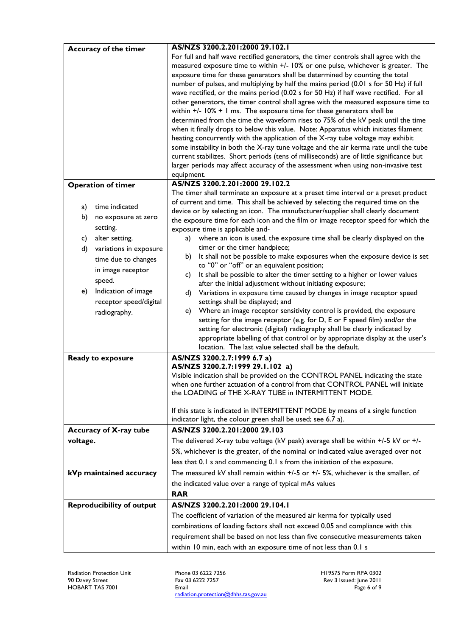|          | Accuracy of the timer            | AS/NZS 3200.2.201:2000 29.102.1                                                                                                                                          |
|----------|----------------------------------|--------------------------------------------------------------------------------------------------------------------------------------------------------------------------|
|          |                                  | For full and half wave rectified generators, the timer controls shall agree with the<br>measured exposure time to within +/- 10% or one pulse, whichever is greater. The |
|          |                                  | exposure time for these generators shall be determined by counting the total                                                                                             |
|          |                                  | number of pulses, and multiplying by half the mains period (0.01 s for 50 Hz) if full                                                                                    |
|          |                                  | wave rectified, or the mains period (0.02 s for 50 Hz) if half wave rectified. For all                                                                                   |
|          |                                  | other generators, the timer control shall agree with the measured exposure time to                                                                                       |
|          |                                  | within $+/-$ 10% $+$ 1 ms. The exposure time for these generators shall be                                                                                               |
|          |                                  | determined from the time the waveform rises to 75% of the kV peak until the time                                                                                         |
|          |                                  | when it finally drops to below this value. Note: Apparatus which initiates filament                                                                                      |
|          |                                  | heating concurrently with the application of the X-ray tube voltage may exhibit                                                                                          |
|          |                                  | some instability in both the X-ray tune voltage and the air kerma rate until the tube                                                                                    |
|          |                                  | current stabilizes. Short periods (tens of milliseconds) are of little significance but                                                                                  |
|          |                                  | larger periods may affect accuracy of the assessment when using non-invasive test                                                                                        |
|          |                                  | equipment.                                                                                                                                                               |
|          | <b>Operation of timer</b>        | AS/NZS 3200.2.201:2000 29.102.2                                                                                                                                          |
|          |                                  | The timer shall terminate an exposure at a preset time interval or a preset product                                                                                      |
| a)       | time indicated                   | of current and time. This shall be achieved by selecting the required time on the<br>device or by selecting an icon. The manufacturer/supplier shall clearly document    |
| b)       | no exposure at zero              | the exposure time for each icon and the film or image receptor speed for which the                                                                                       |
|          | setting.                         | exposure time is applicable and-                                                                                                                                         |
| c)       | alter setting.                   | where an icon is used, the exposure time shall be clearly displayed on the<br>a)                                                                                         |
| d)       | variations in exposure           | timer or the timer handpiece;                                                                                                                                            |
|          | time due to changes              | It shall not be possible to make exposures when the exposure device is set<br>b)                                                                                         |
|          | in image receptor                | to "0" or "off" or an equivalent position;                                                                                                                               |
|          | speed.                           | It shall be possible to alter the timer setting to a higher or lower values<br>c)                                                                                        |
| e)       | Indication of image              | after the initial adjustment without initiating exposure;                                                                                                                |
|          | receptor speed/digital           | Variations in exposure time caused by changes in image receptor speed<br>d)<br>settings shall be displayed; and                                                          |
|          | radiography.                     | Where an image receptor sensitivity control is provided, the exposure<br>e)                                                                                              |
|          |                                  | setting for the image receptor (e.g. for D, E or F speed film) and/or the                                                                                                |
|          |                                  | setting for electronic (digital) radiography shall be clearly indicated by                                                                                               |
|          |                                  | appropriate labelling of that control or by appropriate display at the user's                                                                                            |
|          |                                  | location. The last value selected shall be the default.                                                                                                                  |
|          | Ready to exposure                | AS/NZS 3200.2.7:1999 6.7 a)                                                                                                                                              |
|          |                                  | AS/NZS 3200.2.7:1999 29.1.102 a)                                                                                                                                         |
|          |                                  | Visible indication shall be provided on the CONTROL PANEL indicating the state                                                                                           |
|          |                                  | when one further actuation of a control from that CONTROL PANEL will initiate<br>the LOADING of THE X-RAY TUBE in INTERMITTENT MODE.                                     |
|          |                                  |                                                                                                                                                                          |
|          |                                  | If this state is indicated in INTERMITTENT MODE by means of a single function                                                                                            |
|          |                                  | indicator light, the colour green shall be used; see 6.7 a).                                                                                                             |
|          | Accuracy of X-ray tube           | AS/NZS 3200.2.201:2000 29.103                                                                                                                                            |
| voltage. |                                  | The delivered X-ray tube voltage (kV peak) average shall be within $+/-5$ kV or $+/-$                                                                                    |
|          |                                  | 5%, whichever is the greater, of the nominal or indicated value averaged over not                                                                                        |
|          |                                  | less that 0.1 s and commencing 0.1 s from the initiation of the exposure.                                                                                                |
|          | kVp maintained accuracy          | The measured kV shall remain within $+/-5$ or $+/-5$ %, whichever is the smaller, of                                                                                     |
|          |                                  | the indicated value over a range of typical mAs values                                                                                                                   |
|          |                                  | <b>RAR</b>                                                                                                                                                               |
|          | <b>Reproducibility of output</b> | AS/NZS 3200.2.201:2000 29.104.1                                                                                                                                          |
|          |                                  | The coefficient of variation of the measured air kerma for typically used                                                                                                |
|          |                                  | combinations of loading factors shall not exceed 0.05 and compliance with this                                                                                           |
|          |                                  | requirement shall be based on not less than five consecutive measurements taken                                                                                          |
|          |                                  |                                                                                                                                                                          |
|          |                                  | within 10 min, each with an exposure time of not less than 0.1 s                                                                                                         |

Phone 03 6222 7256 Fax 03 6222 7257 Email radiation.protection@dhhs.tas.gov.au H19575 Form RPA 0302 Rev 3 Issued: June 2011 Page 6 of 9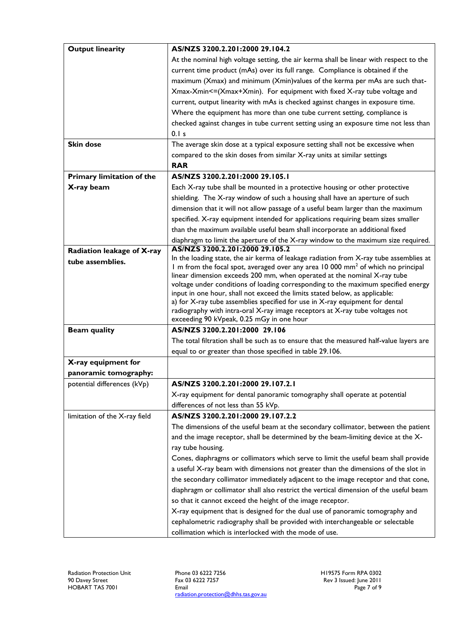| <b>Output linearity</b>          | AS/NZS 3200.2.201:2000 29.104.2                                                                                                                               |
|----------------------------------|---------------------------------------------------------------------------------------------------------------------------------------------------------------|
|                                  | At the nominal high voltage setting, the air kerma shall be linear with respect to the                                                                        |
|                                  | current time product (mAs) over its full range. Compliance is obtained if the                                                                                 |
|                                  | maximum (Xmax) and minimum (Xmin)values of the kerma per mAs are such that-                                                                                   |
|                                  | Xmax-Xmin<=(Xmax+Xmin). For equipment with fixed X-ray tube voltage and                                                                                       |
|                                  | current, output linearity with mAs is checked against changes in exposure time.                                                                               |
|                                  | Where the equipment has more than one tube current setting, compliance is                                                                                     |
|                                  | checked against changes in tube current setting using an exposure time not less than                                                                          |
|                                  | 0.1 s                                                                                                                                                         |
| <b>Skin dose</b>                 | The average skin dose at a typical exposure setting shall not be excessive when                                                                               |
|                                  | compared to the skin doses from similar X-ray units at similar settings                                                                                       |
|                                  | <b>RAR</b>                                                                                                                                                    |
| <b>Primary limitation of the</b> | AS/NZS 3200.2.201:2000 29.105.1                                                                                                                               |
| X-ray beam                       | Each X-ray tube shall be mounted in a protective housing or other protective                                                                                  |
|                                  | shielding. The X-ray window of such a housing shall have an aperture of such                                                                                  |
|                                  | dimension that it will not allow passage of a useful beam larger than the maximum                                                                             |
|                                  | specified. X-ray equipment intended for applications requiring beam sizes smaller                                                                             |
|                                  | than the maximum available useful beam shall incorporate an additional fixed                                                                                  |
|                                  | diaphragm to limit the aperture of the X-ray window to the maximum size required.                                                                             |
| Radiation leakage of X-ray       | AS/NZS 3200.2.201:2000 29.105.2                                                                                                                               |
| tube assemblies.                 | In the loading state, the air kerma of leakage radiation from X-ray tube assemblies at                                                                        |
|                                  | I m from the focal spot, averaged over any area 10 000 mm <sup>2</sup> of which no principal                                                                  |
|                                  | linear dimension exceeds 200 mm, when operated at the nominal X-ray tube<br>voltage under conditions of loading corresponding to the maximum specified energy |
|                                  | input in one hour, shall not exceed the limits stated below, as applicable:                                                                                   |
|                                  | a) for X-ray tube assemblies specified for use in X-ray equipment for dental                                                                                  |
|                                  | radiography with intra-oral X-ray image receptors at X-ray tube voltages not                                                                                  |
|                                  | exceeding 90 kVpeak, 0.25 mGy in one hour                                                                                                                     |
| <b>Beam quality</b>              | AS/NZS 3200.2.201:2000 29.106                                                                                                                                 |
|                                  | The total filtration shall be such as to ensure that the measured half-value layers are                                                                       |
|                                  | equal to or greater than those specified in table 29.106.                                                                                                     |
| X-ray equipment for              |                                                                                                                                                               |
| panoramic tomography:            |                                                                                                                                                               |
| potential differences (kVp)      | AS/NZS 3200.2.201:2000 29.107.2.1                                                                                                                             |
|                                  | X-ray equipment for dental panoramic tomography shall operate at potential                                                                                    |
|                                  | differences of not less than 55 kVp.                                                                                                                          |
| limitation of the X-ray field    | AS/NZS 3200.2.201:2000 29.107.2.2                                                                                                                             |
|                                  | The dimensions of the useful beam at the secondary collimator, between the patient                                                                            |
|                                  | and the image receptor, shall be determined by the beam-limiting device at the X-                                                                             |
|                                  | ray tube housing.                                                                                                                                             |
|                                  | Cones, diaphragms or collimators which serve to limit the useful beam shall provide                                                                           |
|                                  | a useful X-ray beam with dimensions not greater than the dimensions of the slot in                                                                            |
|                                  | the secondary collimator immediately adjacent to the image receptor and that cone,                                                                            |
|                                  | diaphragm or collimator shall also restrict the vertical dimension of the useful beam                                                                         |
|                                  | so that it cannot exceed the height of the image receptor.                                                                                                    |
|                                  | X-ray equipment that is designed for the dual use of panoramic tomography and                                                                                 |
|                                  | cephalometric radiography shall be provided with interchangeable or selectable                                                                                |
|                                  | collimation which is interlocked with the mode of use.                                                                                                        |

Phone 03 6222 7256 Fax 03 6222 7257 Email radiation.protection@dhhs.tas.gov.au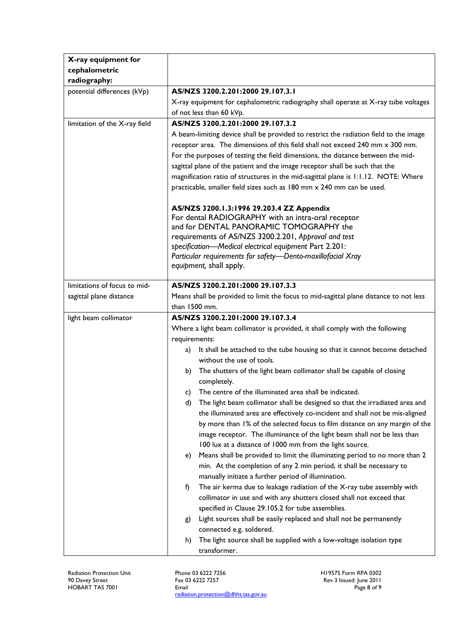| X-ray equipment for           |                                                                                       |
|-------------------------------|---------------------------------------------------------------------------------------|
| cephalometric                 |                                                                                       |
| radiography:                  |                                                                                       |
| potential differences (kVp)   | AS/NZS 3200.2.201:2000 29.107.3.1                                                     |
|                               | X-ray equipment for cephalometric radiography shall operate at X-ray tube voltages    |
|                               | of not less than 60 kVp.                                                              |
| limitation of the X-ray field | AS/NZS 3200.2.201:2000 29.107.3.2                                                     |
|                               | A beam-limiting device shall be provided to restrict the radiation field to the image |
|                               | receptor area. The dimensions of this field shall not exceed 240 mm x 300 mm.         |
|                               | For the purposes of testing the field dimensions, the distance between the mid-       |
|                               | sagittal plane of the patient and the image receptor shall be such that the           |
|                               | magnification ratio of structures in the mid-sagittal plane is 1:1.12. NOTE: Where    |
|                               | practicable, smaller field sizes such as 180 mm x 240 mm can be used.                 |
|                               |                                                                                       |
|                               | AS/NZS 3200.1.3:1996 29.203.4 ZZ Appendix                                             |
|                               | For dental RADIOGRAPHY with an intra-oral receptor                                    |
|                               | and for DENTAL PANORAMIC TOMOGRAPHY the                                               |
|                               | requirements of AS/NZS 3200.2.201, Approval and test                                  |
|                               | specification-Medical electrical equipment Part 2.201:                                |
|                               | Particular requirements for safety-Dento-maxillofacial Xray                           |
|                               | equipment, shall apply.                                                               |
| limitations of focus to mid-  | AS/NZS 3200.2.201:2000 29.107.3.3                                                     |
| sagittal plane distance       | Means shall be provided to limit the focus to mid-sagittal plane distance to not less |
|                               | than 1500 mm.                                                                         |
| light beam collimator         | AS/NZS 3200.2.201:2000 29.107.3.4                                                     |
|                               | Where a light beam collimator is provided, it shall comply with the following         |
|                               | requirements:                                                                         |
|                               | It shall be attached to the tube housing so that it cannot become detached<br>a)      |
|                               | without the use of tools.                                                             |
|                               | The shutters of the light beam collimator shall be capable of closing<br>b)           |
|                               | completely.                                                                           |
|                               | c) The centre of the illuminated area shall be indicated.                             |
|                               | The light beam collimator shall be designed so that the irradiated area and<br>d)     |
|                               | the illuminated area are effectively co-incident and shall not be mis-aligned         |
|                               | by more than 1% of the selected focus to film distance on any margin of the           |
|                               | image receptor. The illuminance of the light beam shall not be less than              |
|                               | 100 lux at a distance of 1000 mm from the light source.                               |
|                               | Means shall be provided to limit the illuminating period to no more than 2<br>e)      |
|                               | min. At the completion of any 2 min period, it shall be necessary to                  |
|                               | manually initiate a further period of illumination.                                   |
|                               | The air kerma due to leakage radiation of the X-ray tube assembly with<br>f)          |
|                               | collimator in use and with any shutters closed shall not exceed that                  |
|                               | specified in Clause 29.105.2 for tube assemblies.                                     |
|                               | Light sources shall be easily replaced and shall not be permanently<br>g)             |
|                               | connected e.g. soldered.                                                              |
|                               | The light source shall be supplied with a low-voltage isolation type<br>h)            |
|                               | transformer.                                                                          |
|                               |                                                                                       |

Radiation Protection Unit 90 Davey Street HOBART TAS 7001

Phone 03 6222 7256 Fax 03 6222 7257 Email radiation.protection@dhhs.tas.gov.au H19575 Form RPA 0302 Rev 3 Issued: June 2011 Page 8 of 9